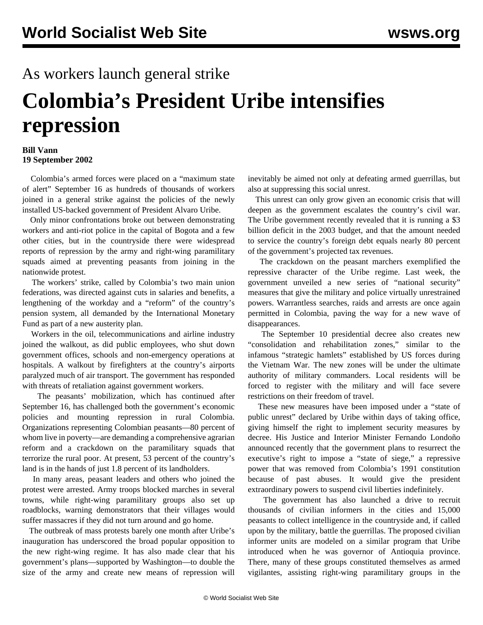## As workers launch general strike

## **Colombia's President Uribe intensifies repression**

## **Bill Vann 19 September 2002**

 Colombia's armed forces were placed on a "maximum state of alert" September 16 as hundreds of thousands of workers joined in a general strike against the policies of the newly installed US-backed government of President Alvaro Uribe.

 Only minor confrontations broke out between demonstrating workers and anti-riot police in the capital of Bogota and a few other cities, but in the countryside there were widespread reports of repression by the army and right-wing paramilitary squads aimed at preventing peasants from joining in the nationwide protest.

 The workers' strike, called by Colombia's two main union federations, was directed against cuts in salaries and benefits, a lengthening of the workday and a "reform" of the country's pension system, all demanded by the International Monetary Fund as part of a new austerity plan.

 Workers in the oil, telecommunications and airline industry joined the walkout, as did public employees, who shut down government offices, schools and non-emergency operations at hospitals. A walkout by firefighters at the country's airports paralyzed much of air transport. The government has responded with threats of retaliation against government workers.

 The peasants' mobilization, which has continued after September 16, has challenged both the government's economic policies and mounting repression in rural Colombia. Organizations representing Colombian peasants—80 percent of whom live in poverty—are demanding a comprehensive agrarian reform and a crackdown on the paramilitary squads that terrorize the rural poor. At present, 53 percent of the country's land is in the hands of just 1.8 percent of its landholders.

 In many areas, peasant leaders and others who joined the protest were arrested. Army troops blocked marches in several towns, while right-wing paramilitary groups also set up roadblocks, warning demonstrators that their villages would suffer massacres if they did not turn around and go home.

 The outbreak of mass protests barely one month after Uribe's inauguration has underscored the broad popular opposition to the new right-wing regime. It has also made clear that his government's plans—supported by Washington—to double the size of the army and create new means of repression will inevitably be aimed not only at defeating armed guerrillas, but also at suppressing this social unrest.

 This unrest can only grow given an economic crisis that will deepen as the government escalates the country's civil war. The Uribe government recently revealed that it is running a \$3 billion deficit in the 2003 budget, and that the amount needed to service the country's foreign debt equals nearly 80 percent of the government's projected tax revenues.

 The crackdown on the peasant marchers exemplified the repressive character of the Uribe regime. Last week, the government unveiled a new series of "national security" measures that give the military and police virtually unrestrained powers. Warrantless searches, raids and arrests are once again permitted in Colombia, paving the way for a new wave of disappearances.

 The September 10 presidential decree also creates new "consolidation and rehabilitation zones," similar to the infamous "strategic hamlets" established by US forces during the Vietnam War. The new zones will be under the ultimate authority of military commanders. Local residents will be forced to register with the military and will face severe restrictions on their freedom of travel.

 These new measures have been imposed under a "state of public unrest" declared by Uribe within days of taking office, giving himself the right to implement security measures by decree. His Justice and Interior Minister Fernando Londoño announced recently that the government plans to resurrect the executive's right to impose a "state of siege," a repressive power that was removed from Colombia's 1991 constitution because of past abuses. It would give the president extraordinary powers to suspend civil liberties indefinitely.

 The government has also launched a drive to recruit thousands of civilian informers in the cities and 15,000 peasants to collect intelligence in the countryside and, if called upon by the military, battle the guerrillas. The proposed civilian informer units are modeled on a similar program that Uribe introduced when he was governor of Antioquia province. There, many of these groups constituted themselves as armed vigilantes, assisting right-wing paramilitary groups in the